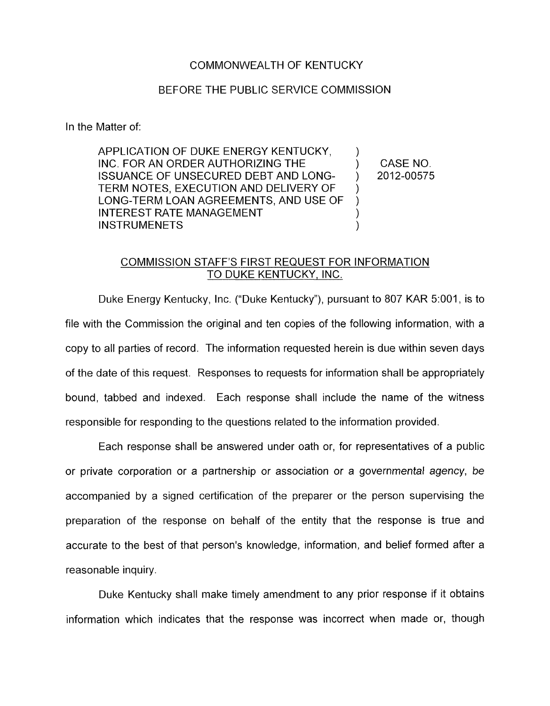## COMMONWEALTH OF KENTUCKY

## BEFORE THE PUBLIC SERVICE COMMISSION

In the Matter of:

APPLICATION OF DUKE ENERGY KENTUCKY. INC. FOR AN ORDER AUTHORIZING THE ) CASENO. TERM NOTES, EXECUTION AND DELIVERY OF ) ISSUANCE OF UNSECURED DEBT AND LONG- ) 2012-00575 ) LONG-TERM LOAN AGREEMENTS, AND USE OF ) INTEREST RATE MANAGEMENT **INSTRUMENETS** 

## COMMISSION STAFF'S FIRST REQUEST FOR INFORMATION TO DUKE KENTUCKY, INC.

Duke Energy Kentucky, Inc. ("Duke Kentucky"), pursuant to 807 KAR 5:OOl , is to file with the Commission the original and ten copies of the following information, with a copy to all parties of record. The information requested herein is due within seven days of the date of this request. Responses to requests for information shall be appropriately bound, tabbed and indexed. Each response shall include the name of the witness responsible for responding to the questions related to the information provided.

Each response shall be answered under oath or, for representatives of a public or private corporation or a partnership or association or a governmental agency, *be*  accompanied by a signed certification of the preparer or the person supervising the preparation of the response on behalf of the entity that the response is true and accurate to the best of that person's knowledge, information, and belief formed after a reasonable inquiry.

Duke Kentucky shall make timely amendment to any prior response if it obtains information which indicates that the response was incorrect when made or, though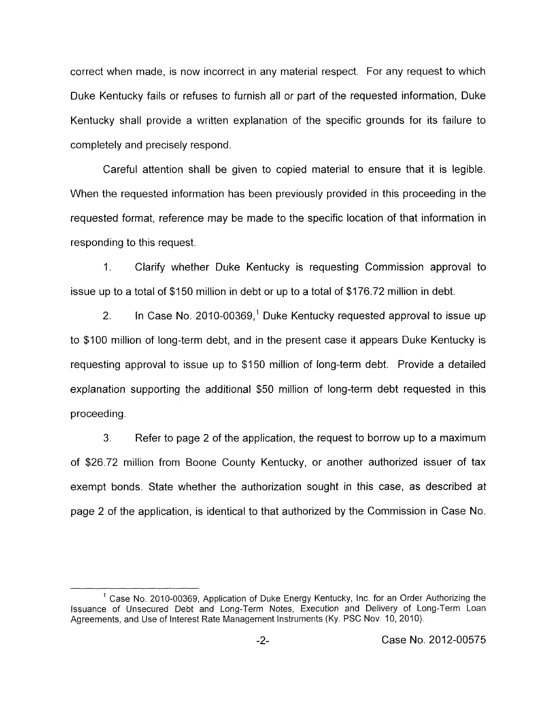correct when made, is now incorrect in any material respect. For any request to which Duke Kentucky fails or refuses to furnish all or part of the requested information, Duke Kentucky shall provide a written explanation of the specific grounds for its failure to completely and precisely respond.

Careful attention shall be given to copied material to ensure that it is legible. When the requested information has been previously provided in this proceeding in the requested format, reference may be made to the specific location of that information in responding to this request.

1. Clarify whether Duke Kentucky *is* requesting Commission approval to issue up to a total of \$150 million in debt or up to a total of \$176.72 million in debt.

2. In Case No. 2010-00369,<sup>1</sup> Duke Kentucky requested approval to issue up to \$100 million of long-term debt, and in the present case it appears Duke Kentucky is requesting approval to issue up to \$150 million of long-term debt. Provide a detailed explanation supporting the additional \$50 million of long-term debt requested in this proceeding.

3. Refer to page 2 of the application, the request to borrow up to a maximum of \$26.72 million from Boone County Kentucky, or another authorized issuer of tax exempt bonds. State whether the authorization sought in this case, as described at page 2 of the application, is identical to that authorized by the Commission in Case No.

<sup>&</sup>lt;sup>1</sup> Case No. 2010-00369, Application of Duke Energy Kentucky, Inc. for an Order Authorizing the Issuance of llnsecured Debt and Long-Term Notes, Execution and Delivery of Long-Term Loan Agreements, and Use of Interest Rate Management Instruments (Ky. PSC Nov 10, 2010).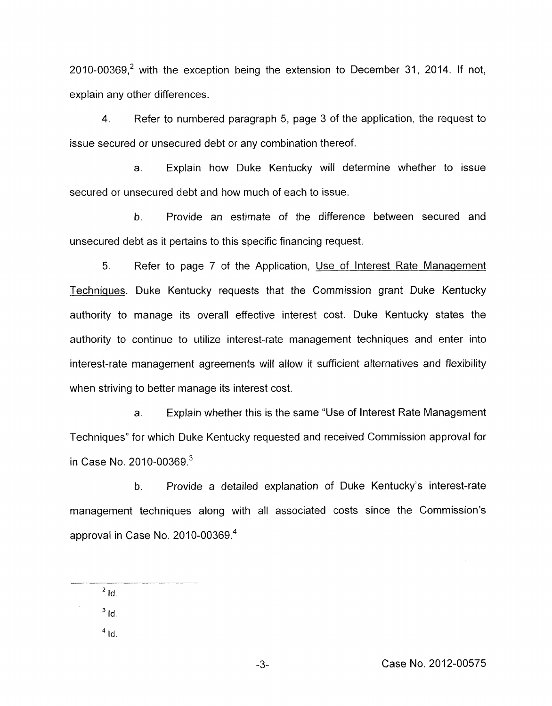$2010$ -00369.<sup>2</sup> with the exception being the extension to December 31, 2014. If not, explain any other differences.

**4.** Refer to numbered paragraph 5, page 3 of the application, the request to issue secured or unsecured debt or any combination thereof.

a. Explain how Duke Kentucky will determine whether to issue secured or unsecured debt and how much of each to issue.

b. Provide an estimate of the difference between secured and unsecured debt as it pertains to this specific financing request.

*5.* Refer to page 7 of the Application, Use of Interest Rate Management Techniques. Duke Kentucky requests that the Commission grant Duke Kentucky authority to manage its overall effective interest cost. Duke Kentucky states the authority to continue to utilize interest-rate management techniques and enter into interest-rate management agreements will allow it sufficient alternatives and flexibility when striving to better manage its interest cost.

a. Explain whether this is the same "Use of Interest Rate Management Techniques" for which Duke Kentucky requested and received Commission approval for in Case No.  $2010 - 00369$ <sup>3</sup>

b. Provide a detailed explanation of Duke Kentucky's interest-rate management techniques along with all associated costs since the Commission's approval in Case No. 2010-00369.4

 $2$  Id.

 $^3$   $\mathsf{Id}$ .

 $^4$  Id.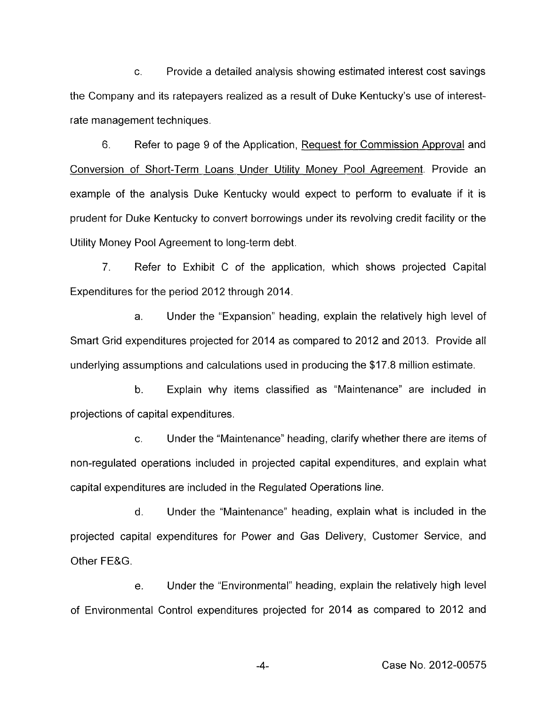c. Provide a detailed analysis showing estimated interest cost savings the Company and its ratepayers realized as a result of Duke Kentucky's use of interestrate management techniques.

6. Refer to page 9 of the Application, Request for Commission Approval and Conversion of Short-Term Loans Under Utility Money Pool Agreement. Provide an example of the analysis Duke Kentucky would expect to perform to evaluate if it is prudent for Duke Kentucky to convert borrowings under its revolving credit facility or the Utility Money Pool Agreement to long-term debt.

7. Refer to Exhibit C of the application, which shows projected Capital Expenditures for the period 2012 through 2014.

a. Under the "Expansion" heading, explain the relatively high level of Smart Grid expenditures projected for 2014 as compared to 2012 and 2013. Provide all underlying assumptions and calculations used in producing the \$17.8 million estimate.

b. Explain why items classified as "Maintenance" are included in projections of capital expenditures.

c. Under the "Maintenance" heading, clarify whether there are items of non-regulated operations included in projected capital expenditures, and explain what capital expenditures are included in the Regulated Operations line.

d. Under the "Maintenance" heading, explain what is included in the projected capital expenditures for Power and Gas Delivery, Customer Service, and Other FE&G.

e. Under the "Environmental" heading, explain the relatively high level of Environmental Control expenditures projected for 2014 as compared to 2012 and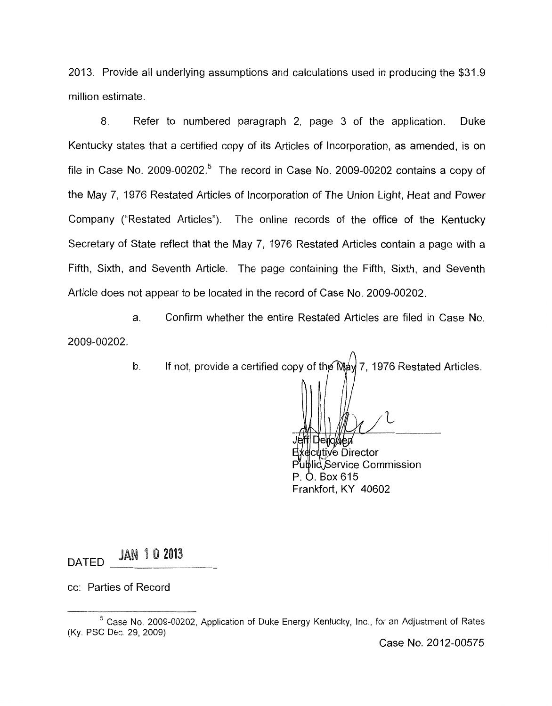2013. Provide all underlying assumptions and calculations used in producing the \$31.9 million estimate.

8. Refer to numbered paragraph 2, page 3 of the application. Duke Kentucky states that a certified copy of its Articles of Incorporation, as amended, is on file in Case No. 2009-00202.<sup>5</sup> The record in Case No. 2009-00202 contains a copy of the May 7, 1976 Restated Articles of Incorporation of The Union Light, Heat and Power Company ("Restated Articles"). The online records of the office of the Kentucky Secretary of State reflect that the May 7, 1976 Restated Articles contain a page with a Fifth, Sixth, and Seventh Article. The page containing the Fifth, Sixth, and Seventh Article does not appear to be located in the record of Case No. 2009-00202.

a. Confirm whether the entire Restated Articles are filed in Case No. 2009-00202.

b. If not, provide a certified copy of the  $M_{\text{A}}/7$ , 1976 Restated Articles.

effl Derlowen t∕kecutive Director

Publid Service Commission P. O. Box 615 Frankfort, KY 40602

DATED JAN 1 0 2013

cc: Parties of Record

Case No. 2012-00575

<sup>&</sup>lt;sup>5</sup> Case No. 2009-00202, Application of Duke Energy Kentucky, Inc., for an Adjustment of Rates (Ky PSC Dec 29, 2009).